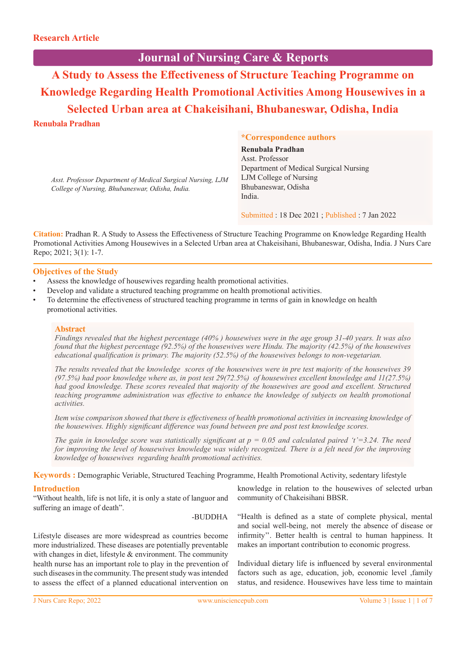# **Journal of Nursing Care & Reports**

**A Study to Assess the Effectiveness of Structure Teaching Programme on Knowledge Regarding Health Promotional Activities Among Housewives in a Selected Urban area at Chakeisihani, Bhubaneswar, Odisha, India**

# **Renubala Pradhan**

**\*Correspondence authors**

*Asst. Professor Department of Medical Surgical Nursing, LJM College of Nursing, Bhubaneswar, Odisha, India.*

**Renubala Pradhan** Asst. Professor Department of Medical Surgical Nursing LJM College of Nursing Bhubaneswar, Odisha India.

Submitted : 18 Dec 2021 ; Published : 7 Jan 2022

**Citation:** Pradhan R. A Study to Assess the Effectiveness of Structure Teaching Programme on Knowledge Regarding Health Promotional Activities Among Housewives in a Selected Urban area at Chakeisihani, Bhubaneswar, Odisha, India. J Nurs Care Repo; 2021; 3(1): 1-7.

## **Objectives of the Study**

- Assess the knowledge of housewives regarding health promotional activities.
- Develop and validate a structured teaching programme on health promotional activities.
- To determine the effectiveness of structured teaching programme in terms of gain in knowledge on health promotional activities.

#### **Abstract**

*Findings revealed that the highest percentage (40% ) housewives were in the age group 31-40 years. It was also found that the highest percentage (92.5%) of the housewives were Hindu. The majority (42.5%) of the housewives educational qualification is primary. The majority (52.5%) of the housewives belongs to non-vegetarian.*

*The results revealed that the knowledge scores of the housewives were in pre test majority of the housewives 39 (97.5%) had poor knowledge where as, in post test 29(72.5%) of housewives excellent knowledge and 11(27.5%) had good knowledge. These scores revealed that majority of the housewives are good and excellent. Structured teaching programme administration was effective to enhance the knowledge of subjects on health promotional activities.*

*Item wise comparison showed that there is effectiveness of health promotional activities in increasing knowledge of the housewives. Highly significant difference was found between pre and post test knowledge scores.* 

*The gain in knowledge score was statistically significant at*  $p = 0.05$  *and calculated paired 't'=3.24. The need for improving the level of housewives knowledge was widely recognized. There is a felt need for the improving knowledge of housewives regarding health promotional activities.* 

**Keywords :** Demographic Veriable, Structured Teaching Programme, Health Promotional Activity, sedentary lifestyle

# **Introduction**

"Without health, life is not life, it is only a state of languor and suffering an image of death".

-BUDDHA

Lifestyle diseases are more widespread as countries become more industrialized. These diseases are potentially preventable with changes in diet, lifestyle & environment. The community health nurse has an important role to play in the prevention of such diseases in the community. The present study was intended to assess the effect of a planned educational intervention on

knowledge in relation to the housewives of selected urban community of Chakeisihani BBSR.

"Health is defined as a state of complete physical, mental and social well-being, not merely the absence of disease or infirmity''. Better health is central to human happiness. It makes an important contribution to economic progress.

Individual dietary life is influenced by several environmental factors such as age, education, job, economic level ,family status, and residence. Housewives have less time to maintain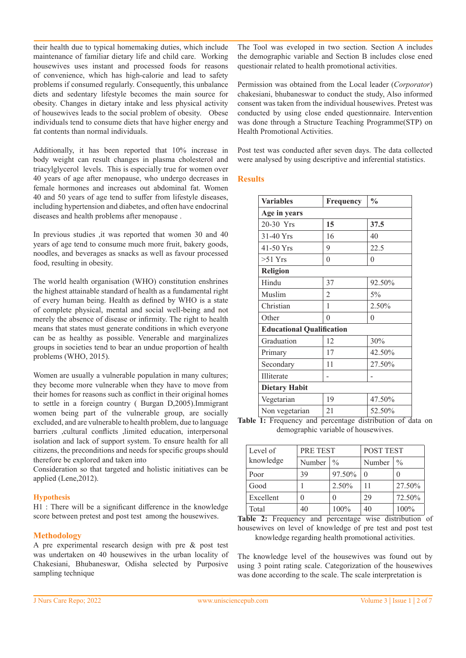their health due to typical homemaking duties, which include maintenance of familiar dietary life and child care. Working housewives uses instant and processed foods for reasons of convenience, which has high-calorie and lead to safety problems if consumed regularly. Consequently, this unbalance diets and sedentary lifestyle becomes the main source for obesity. Changes in dietary intake and less physical activity of housewives leads to the social problem of obesity. Obese individuals tend to consume diets that have higher energy and fat contents than normal individuals.

Additionally, it has been reported that 10% increase in body weight can result changes in plasma cholesterol and triacylglycerol levels. This is especially true for women over 40 years of age after menopause, who undergo decreases in female hormones and increases out abdominal fat. Women 40 and 50 years of age tend to suffer from lifestyle diseases, including hypertension and diabetes, and often have endocrinal diseases and health problems after menopause .

In previous studies ,it was reported that women 30 and 40 years of age tend to consume much more fruit, bakery goods, noodles, and beverages as snacks as well as favour processed food, resulting in obesity.

The world health organisation (WHO) constitution enshrines the highest attainable standard of health as a fundamental right of every human being. Health as defined by WHO is a state of complete physical, mental and social well-being and not merely the absence of disease or infirmity. The right to health means that states must generate conditions in which everyone can be as healthy as possible. Venerable and marginalizes groups in societies tend to bear an undue proportion of health problems (WHO, 2015).

Women are usually a vulnerable population in many cultures; they become more vulnerable when they have to move from their homes for reasons such as conflict in their original homes to settle in a foreign country ( Burgan D,2005).Immigrant women being part of the vulnerable group, are socially excluded, and are vulnerable to health problem, due to language barriers ,cultural conflicts ,limited education, interpersonal isolation and lack of support system. To ensure health for all citizens, the preconditions and needs for specific groups should therefore be explored and taken into

Consideration so that targeted and holistic initiatives can be applied (Lene,2012).

#### **Hypothesis**

H1 : There will be a significant difference in the knowledge score between pretest and post test among the housewives.

# **Methodology**

A pre experimental research design with pre & post test was undertaken on 40 housewives in the urban locality of Chakesiani, Bhubaneswar, Odisha selected by Purposive sampling technique

The Tool was eveloped in two section. Section A includes the demographic variable and Section B includes close ened questionair related to health promotional activities.

Permission was obtained from the Local leader (*Corporator*) chakesiani, bhubaneswar to conduct the study, Also informed consent was taken from the individual housewives. Pretest was conducted by using close ended questionnaire. Intervention was done through a Structure Teaching Programme(STP) on Health Promotional Activities.

Post test was conducted after seven days. The data collected were analysed by using descriptive and inferential statistics.

# **Results**

| <b>Variables</b>                 | Frequency      | $\frac{0}{0}$ |
|----------------------------------|----------------|---------------|
| Age in years                     |                |               |
| 20-30 Yrs                        | 15             | 37.5          |
| $31-40$ Yrs                      | 16             | 40            |
| $41-50$ Yrs                      | 9              | 22.5          |
| $>51$ Yrs                        | $\theta$       | $\theta$      |
| <b>Religion</b>                  |                |               |
| Hindu                            | 37             | 92.50%        |
| Muslim                           | $\overline{2}$ | $5\%$         |
| Christian                        | 1              | 2.50%         |
| Other                            | $\theta$       | $\theta$      |
| <b>Educational Qualification</b> |                |               |
| Graduation                       | 12             | 30%           |
| Primary                          | 17             | 42.50%        |
| Secondary                        | 11             | 27.50%        |
| Illiterate                       |                |               |
| <b>Dietary Habit</b>             |                |               |
| Vegetarian                       | 19             | 47.50%        |
| Non vegetarian                   | 21             | 52.50%        |

**Table 1:** Frequency and percentage distribution of data on demographic variable of housewives.

| Level of  | PRE TEST |               | POST TEST |               |
|-----------|----------|---------------|-----------|---------------|
| knowledge | Number   | $\frac{0}{0}$ | Number    | $\frac{0}{0}$ |
| Poor      | 39       | 97.50%        | $\Omega$  |               |
| Good      |          | 2.50%         |           | 27.50%        |
| Excellent | 0        |               | 29        | 72.50%        |
| Total     | 40       | 100%          | 40        | 100%          |

**Table 2:** Frequency and percentage wise distribution of housewives on level of knowledge of pre test and post test knowledge regarding health promotional activities.

The knowledge level of the housewives was found out by using 3 point rating scale. Categorization of the housewives was done according to the scale. The scale interpretation is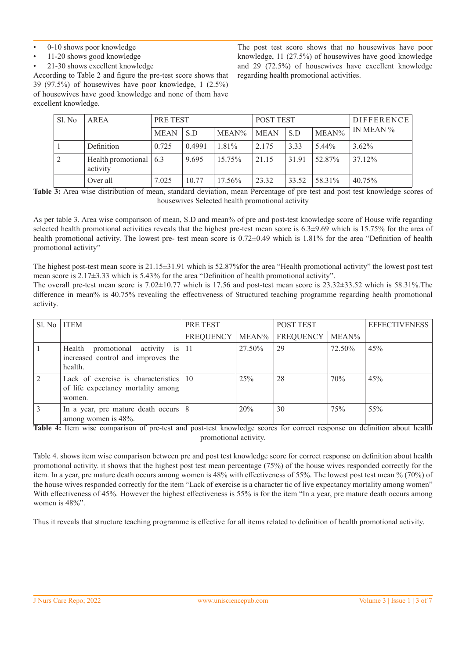- 0-10 shows poor knowledge
- 11-20 shows good knowledge
- 21-30 shows excellent knowledge

According to Table 2 and figure the pre-test score shows that 39 (97.5%) of housewives have poor knowledge, 1 (2.5%) of housewives have good knowledge and none of them have excellent knowledge.

The post test score shows that no housewives have poor knowledge, 11 (27.5%) of housewives have good knowledge and 29 (72.5%) of housewives have excellent knowledge regarding health promotional activities.

| Sl. No | AREA                                       | PRE TEST    |        | <b>POST TEST</b> |             |       | <b>DIFFERENCE</b> |           |
|--------|--------------------------------------------|-------------|--------|------------------|-------------|-------|-------------------|-----------|
|        |                                            | <b>MEAN</b> | S.D    | $MEAN\%$         | <b>MEAN</b> | S.D   | MEAN%             | IN MEAN % |
|        | Definition                                 | 0.725       | 0.4991 | $1.81\%$         | 2.175       | 3.33  | 5.44%             | $3.62\%$  |
| 2      | Health promotional $\vert$ 6.3<br>activity |             | 9.695  | 15.75%           | 21.15       | 31.91 | 52.87%            | 37.12%    |
|        | Over all                                   | 7.025       | 10.77  | $17.56\%$        | 23.32       | 33.52 | 58.31%            | 40.75%    |

Table 3: Area wise distribution of mean, standard deviation, mean Percentage of pre test and post test knowledge scores of housewives Selected health promotional activity

As per table 3. Area wise comparison of mean, S.D and mean% of pre and post-test knowledge score of House wife regarding selected health promotional activities reveals that the highest pre-test mean score is  $6.3\pm9.69$  which is 15.75% for the area of health promotional activity. The lowest pre- test mean score is 0.72±0.49 which is 1.81% for the area "Definition of health promotional activity"

The highest post-test mean score is 21.15±31.91 which is 52.87%for the area "Health promotional activity" the lowest post test mean score is 2.17±3.33 which is 5.43% for the area "Definition of health promotional activity".

The overall pre-test mean score is 7.02±10.77 which is 17.56 and post-test mean score is 23.32±33.52 which is 58.31%.The difference in mean% is 40.75% revealing the effectiveness of Structured teaching programme regarding health promotional activity.

| SI. No | <b>ITEM</b>                                                                              | PRE TEST  |          | <b>POST TEST</b> |        | <b>EFFECTIVENESS</b> |
|--------|------------------------------------------------------------------------------------------|-----------|----------|------------------|--------|----------------------|
|        |                                                                                          | FREQUENCY | $MEAN\%$ | FREQUENCY        | MEAN%  |                      |
|        | Health promotional activity is $ 11 $<br>increased control and improves the<br>health.   |           | 27.50%   | 29               | 72.50% | 45%                  |
|        | Lack of exercise is characteristics   10<br>of life expectancy mortality among<br>women. |           | 25%      | 28               | 70%    | 45%                  |
|        | In a year, pre mature death occurs $8$<br>among women is 48%.                            |           | 20%      | 30               | 75%    | 55%                  |

**Table 4:** Item wise comparison of pre-test and post-test knowledge scores for correct response on definition about health promotional activity.

Table 4. shows item wise comparison between pre and post test knowledge score for correct response on definition about health promotional activity. it shows that the highest post test mean percentage (75%) of the house wives responded correctly for the item. In a year, pre mature death occurs among women is 48% with effectiveness of 55%. The lowest post test mean % (70%) of the house wives responded correctly for the item "Lack of exercise is a character tic of live expectancy mortality among women" With effectiveness of 45%. However the highest effectiveness is 55% is for the item "In a year, pre mature death occurs among women is 48%".

Thus it reveals that structure teaching programme is effective for all items related to definition of health promotional activity.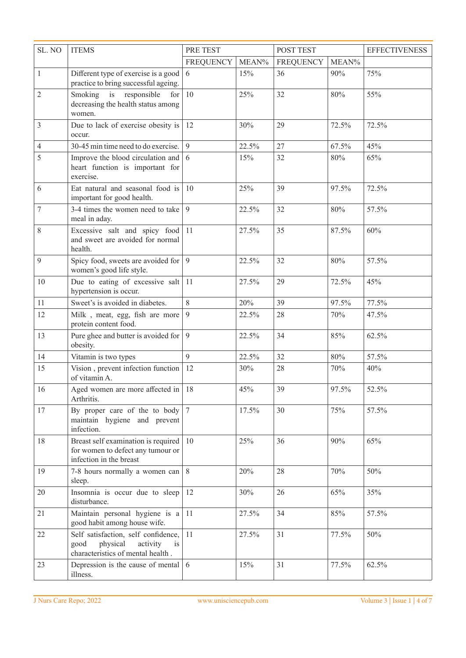| SL. NO         | <b>ITEMS</b>                                                                                                   | PRE TEST  |       | POST TEST        |       | <b>EFFECTIVENESS</b> |
|----------------|----------------------------------------------------------------------------------------------------------------|-----------|-------|------------------|-------|----------------------|
|                |                                                                                                                | FREQUENCY | MEAN% | <b>FREQUENCY</b> | MEAN% |                      |
| $\mathbf{1}$   | Different type of exercise is a good<br>practice to bring successful ageing.                                   | 6         | 15%   | 36               | 90%   | 75%                  |
| $\mathfrak{2}$ | Smoking is responsible<br>for<br>decreasing the health status among<br>women.                                  | 10        | 25%   | 32               | 80%   | 55%                  |
| 3              | Due to lack of exercise obesity is<br>occur.                                                                   | 12        | 30%   | 29               | 72.5% | 72.5%                |
| 4              | 30-45 min time need to do exercise.                                                                            | 9         | 22.5% | 27               | 67.5% | 45%                  |
| 5              | Improve the blood circulation and $\vert 6 \rangle$<br>heart function is important for<br>exercise.            |           | 15%   | 32               | 80%   | 65%                  |
| 6              | Eat natural and seasonal food is<br>important for good health.                                                 | 10        | 25%   | 39               | 97.5% | 72.5%                |
| 7              | 3-4 times the women need to take<br>meal in aday.                                                              | 9         | 22.5% | 32               | 80%   | 57.5%                |
| $8\,$          | Excessive salt and spicy food<br>and sweet are avoided for normal<br>health.                                   | 11        | 27.5% | 35               | 87.5% | 60%                  |
| 9              | Spicy food, sweets are avoided for $\vert$ 9<br>women's good life style.                                       |           | 22.5% | 32               | 80%   | 57.5%                |
| 10             | Due to eating of excessive salt<br>hypertension is occur.                                                      | 11        | 27.5% | 29               | 72.5% | 45%                  |
| 11             | Sweet's is avoided in diabetes.                                                                                | 8         | 20%   | 39               | 97.5% | 77.5%                |
| 12             | Milk, meat, egg, fish are more<br>protein content food.                                                        | 9         | 22.5% | 28               | 70%   | 47.5%                |
| 13             | Pure ghee and butter is avoided for<br>obesity.                                                                | 9         | 22.5% | 34               | 85%   | 62.5%                |
| 14             | Vitamin is two types                                                                                           | 9         | 22.5% | 32               | 80%   | 57.5%                |
| 15             | Vision, prevent infection function<br>of vitamin A.                                                            | 12        | 30%   | 28               | 70%   | 40%                  |
| 16             | Aged women are more affected in   18<br>Arthritis.                                                             |           | 45%   | 39               | 97.5% | 52.5%                |
| 17             | By proper care of the to body $ 7$<br>maintain hygiene and prevent<br>infection.                               |           | 17.5% | 30               | 75%   | 57.5%                |
| 18             | Breast self examination is required<br>for women to defect any tumour or<br>infection in the breast            | 10        | 25%   | 36               | 90%   | 65%                  |
| 19             | 7-8 hours normally a women can<br>sleep.                                                                       | 8         | 20%   | 28               | 70%   | 50%                  |
| 20             | Insomnia is occur due to sleep<br>disturbance.                                                                 | 12        | 30%   | 26               | 65%   | 35%                  |
| 21             | Maintain personal hygiene is a<br>good habit among house wife.                                                 | 11        | 27.5% | 34               | 85%   | 57.5%                |
| 22             | Self satisfaction, self confidence,<br>physical<br>activity<br>good<br>is<br>characteristics of mental health. | 11        | 27.5% | 31               | 77.5% | 50%                  |
| 23             | Depression is the cause of mental $\vert 6 \rangle$<br>illness.                                                |           | 15%   | 31               | 77.5% | 62.5%                |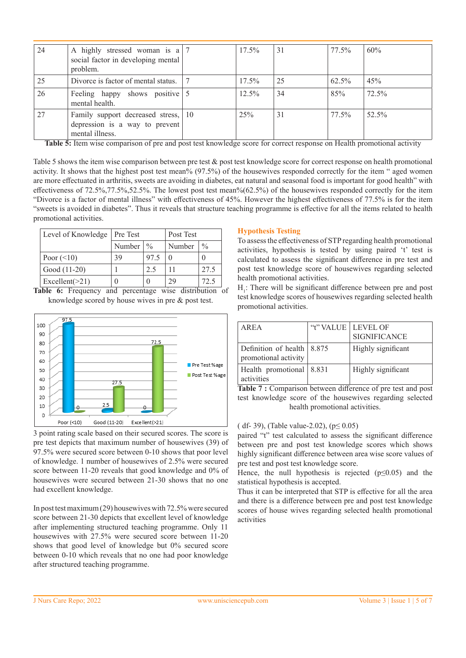| 24   | A highly stressed woman is $a \mid 7$<br>social factor in developing mental<br>problem.  | $17.5\%$ | 31 | 77.5% | 60%      |
|------|------------------------------------------------------------------------------------------|----------|----|-------|----------|
| 25   | Divorce is factor of mental status. 17                                                   | $17.5\%$ | 25 | 62.5% | 45%      |
| 26   | Feeling happy shows positive 5<br>mental health.                                         | $12.5\%$ | 34 | 85%   | $72.5\%$ |
| . 27 | Family support decreased stress, 10<br>depression is a way to prevent<br>mental illness. | 25%      | 31 | 77.5% | 52.5%    |

**Table 5:** Item wise comparison of pre and post test knowledge score for correct response on Health promotional activity

Table 5 shows the item wise comparison between pre test & post test knowledge score for correct response on health promotional activity. It shows that the highest post test mean% (97.5%) of the housewives responded correctly for the item " aged women are more effectuated in arthritis, sweets are avoiding in diabetes, eat natural and seasonal food is important for good health" with effectiveness of 72.5%,77.5%,52.5%. The lowest post test mean%(62.5%) of the housewives responded correctly for the item "Divorce is a factor of mental illness" with effectiveness of 45%. However the highest effectiveness of 77.5% is for the item "sweets is avoided in diabetes". Thus it reveals that structure teaching programme is effective for all the items related to health promotional activities.

| Level of Knowledge   Pre Test |                      |      | Post Test    |               |
|-------------------------------|----------------------|------|--------------|---------------|
|                               | Number $\frac{9}{6}$ |      | Number       | $\frac{0}{0}$ |
| Poor $(\leq 10)$              | 39                   | 97.5 | $\mathbf{0}$ | 0             |
| Good (11-20)                  |                      | 2.5  |              | 27.5          |
| Excellent $(>21)$             |                      |      | 29           | 72.5          |

**Table 6:** Frequency and percentage wise distribution of knowledge scored by house wives in pre & post test.



3 point rating scale based on their secured scores. The score is pre test depicts that maximum number of housewives (39) of 97.5% were secured score between 0-10 shows that poor level of knowledge. 1 number of housewives of 2.5% were secured score between 11-20 reveals that good knowledge and 0% of housewives were secured between 21-30 shows that no one had excellent knowledge.

In post test maximum (29) housewives with 72.5% were secured score between 21-30 depicts that excellent level of knowledge after implementing structured teaching programme. Only 11 housewives with 27.5% were secured score between 11-20 shows that good level of knowledge but 0% secured score between 0-10 which reveals that no one had poor knowledge after structured teaching programme.

## **Hypothesis Testing**

To assess the effectiveness of STP regarding health promotional activities, hypothesis is tested by using paired 't' test is calculated to assess the significant difference in pre test and post test knowledge score of housewives regarding selected health promotional activities.

 $H<sub>1</sub>$ : There will be significant difference between pre and post test knowledge scores of housewives regarding selected health promotional activities.

|                               | "t" VALUE   LEVEL OF |
|-------------------------------|----------------------|
|                               | <b>SIGNIFICANCE</b>  |
| Definition of health $ 8.875$ | Highly significant   |
| Health promotional   8.831    | Highly significant   |
|                               |                      |

Table 7 : Comparison between difference of pre test and post test knowledge score of the housewives regarding selected health promotional activities.

## ( df- 39), (Table value-2.02), (p≤ 0.05)

paired "t" test calculated to assess the significant difference between pre and post test knowledge scores which shows highly significant difference between area wise score values of pre test and post test knowledge score.

Hence, the null hypothesis is rejected ( $p \le 0.05$ ) and the statistical hypothesis is accepted.

Thus it can be interpreted that STP is effective for all the area and there is a difference between pre and post test knowledge scores of house wives regarding selected health promotional activities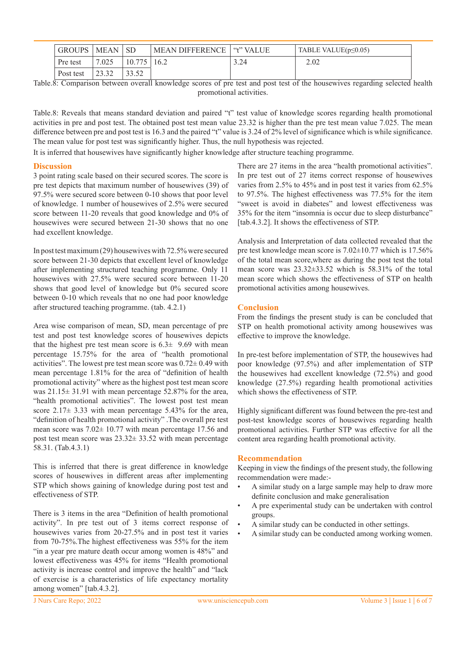| <b>GROUPS</b> | MEAN  | <b>SD</b>      | <b>MEAN DIFFERENCE</b> | "t" VALUE | TABLE VALUE $(p \le 0.05)$ |
|---------------|-------|----------------|------------------------|-----------|----------------------------|
| Pre test      | 7.025 | 10.775         | 16.2                   | 3.24      | 2.02                       |
| Post test     | 23.32 | 33.52<br>33.JZ |                        |           |                            |

Table.8: Comparison between overall knowledge scores of pre test and post test of the housewives regarding selected health promotional activities.

Table.8: Reveals that means standard deviation and paired "t" test value of knowledge scores regarding health promotional activities in pre and post test. The obtained post test mean value 23.32 is higher than the pre test mean value 7.025. The mean difference between pre and post test is 16.3 and the paired "t" value is 3.24 of 2% level of significance which is while significance. The mean value for post test was significantly higher. Thus, the null hypothesis was rejected.

It is inferred that housewives have significantly higher knowledge after structure teaching programme.

#### **Discussion**

3 point rating scale based on their secured scores. The score is pre test depicts that maximum number of housewives (39) of 97.5% were secured score between 0-10 shows that poor level of knowledge. 1 number of housewives of 2.5% were secured score between 11-20 reveals that good knowledge and 0% of housewives were secured between 21-30 shows that no one had excellent knowledge.

In post test maximum (29) housewives with 72.5% were secured score between 21-30 depicts that excellent level of knowledge after implementing structured teaching programme. Only 11 housewives with 27.5% were secured score between 11-20 shows that good level of knowledge but 0% secured score between 0-10 which reveals that no one had poor knowledge after structured teaching programme. (tab. 4.2.1)

Area wise comparison of mean, SD, mean percentage of pre test and post test knowledge scores of housewives depicts that the highest pre test mean score is 6.3± 9.69 with mean percentage 15.75% for the area of "health promotional activities". The lowest pre test mean score was  $0.72 \pm 0.49$  with mean percentage 1.81% for the area of "definition of health promotional activity" where as the highest post test mean score was 21.15± 31.91 with mean percentage 52.87% for the area, "health promotional activities". The lowest post test mean score  $2.17 \pm 3.33$  with mean percentage 5.43% for the area, "definition of health promotional activity" .The overall pre test mean score was  $7.02 \pm 10.77$  with mean percentage 17.56 and post test mean score was 23.32± 33.52 with mean percentage 58.31. (Tab.4.3.1)

This is inferred that there is great difference in knowledge scores of housewives in different areas after implementing STP which shows gaining of knowledge during post test and effectiveness of STP.

There is 3 items in the area "Definition of health promotional activity". In pre test out of 3 items correct response of housewives varies from 20-27.5% and in post test it varies from 70-75%.The highest effectiveness was 55% for the item "in a year pre mature death occur among women is 48%" and lowest effectiveness was 45% for items "Health promotional activity is increase control and improve the health" and "lack of exercise is a characteristics of life expectancy mortality among women" [tab.4.3.2].

There are 27 items in the area "health promotional activities". In pre test out of 27 items correct response of housewives varies from 2.5% to 45% and in post test it varies from 62.5% to 97.5%. The highest effectiveness was 77.5% for the item "sweet is avoid in diabetes" and lowest effectiveness was 35% for the item "insomnia is occur due to sleep disturbance" [tab.4.3.2]. It shows the effectiveness of STP.

Analysis and Interpretation of data collected revealed that the pre test knowledge mean score is 7.02±10.77 which is 17.56% of the total mean score,where as during the post test the total mean score was 23.32±33.52 which is 58.31% of the total mean score which shows the effectiveness of STP on health promotional activities among housewives.

# **Conclusion**

From the findings the present study is can be concluded that STP on health promotional activity among housewives was effective to improve the knowledge.

In pre-test before implementation of STP, the housewives had poor knowledge (97.5%) and after implementation of STP the housewives had excellent knowledge (72.5%) and good knowledge (27.5%) regarding health promotional activities which shows the effectiveness of STP.

Highly significant different was found between the pre-test and post-test knowledge scores of housewives regarding health promotional activities. Further STP was effective for all the content area regarding health promotional activity.

#### **Recommendation**

Keeping in view the findings of the present study, the following recommendation were made:-

- A similar study on a large sample may help to draw more definite conclusion and make generalisation
- A pre experimental study can be undertaken with control groups.
- A similar study can be conducted in other settings.
- A similar study can be conducted among working women.